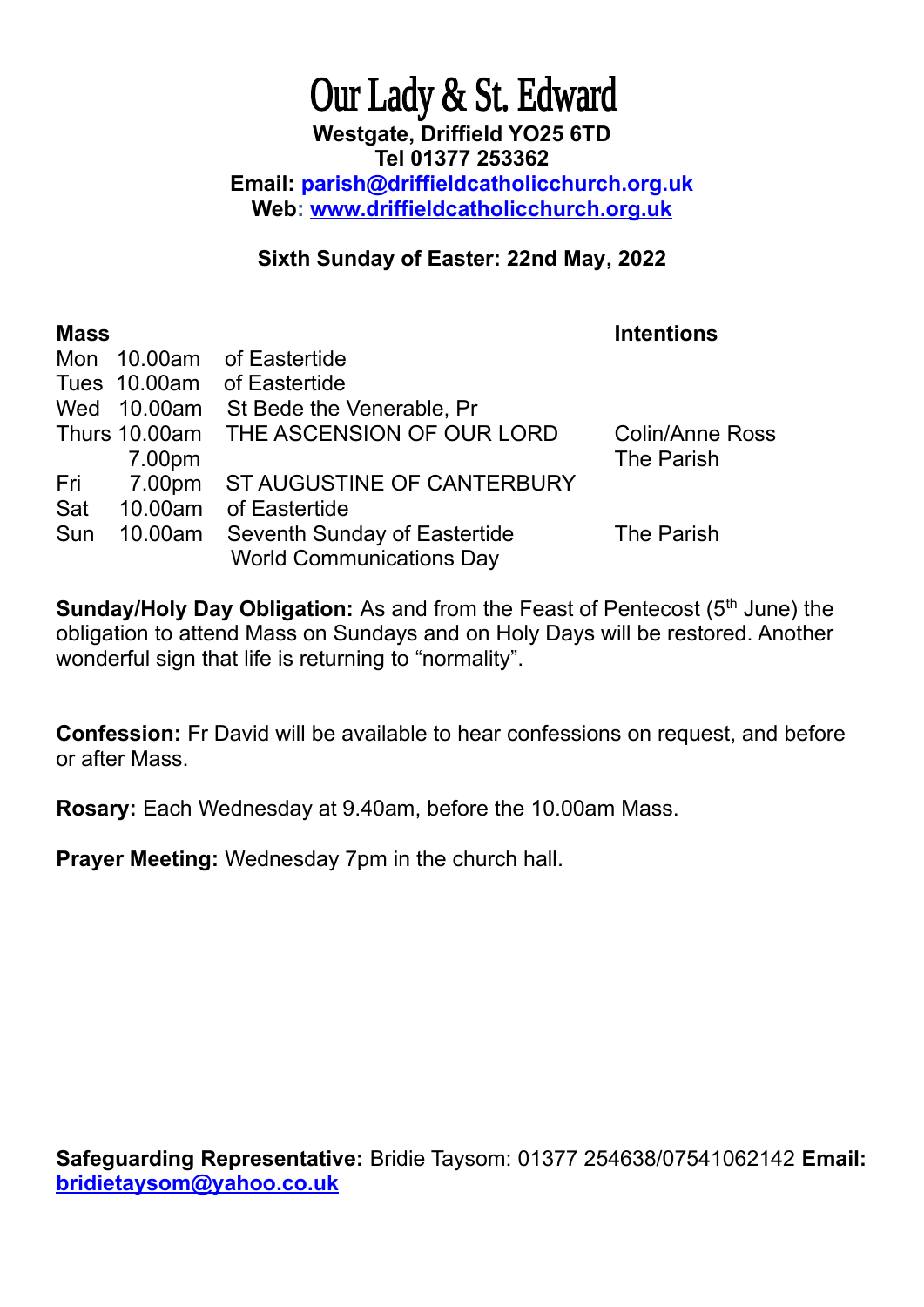## Our Lady & St. Edward **Westgate, Driffield YO25 6TD Tel 01377 253362 Email: [parish@driffieldcatholicchurch.org.uk](mailto:parish@driffieldcatholicchurch.org.uk) Web: [www.driffieldcatholicchurch.org.uk](http://www.driffieldcatholicchurch.org.uk/)**

## **Sixth Sunday of Easter: 22nd May, 2022**

| <b>Mass</b> |         |                                         | <b>Intentions</b>      |
|-------------|---------|-----------------------------------------|------------------------|
|             |         | Mon 10.00am of Eastertide               |                        |
|             |         | Tues 10.00am of Eastertide              |                        |
|             |         | Wed 10.00am St Bede the Venerable, Pr   |                        |
|             |         | Thurs 10.00am THE ASCENSION OF OUR LORD | <b>Colin/Anne Ross</b> |
|             | 7.00pm  |                                         | The Parish             |
|             |         | Fri 7.00pm ST AUGUSTINE OF CANTERBURY   |                        |
| Sat         | 10.00am | of Eastertide                           |                        |
| Sun         |         | 10.00am Seventh Sunday of Eastertide    | The Parish             |
|             |         | <b>World Communications Day</b>         |                        |

**Sunday/Holy Day Obligation:** As and from the Feast of Pentecost (5<sup>th</sup> June) the obligation to attend Mass on Sundays and on Holy Days will be restored. Another wonderful sign that life is returning to "normality".

**Confession:** Fr David will be available to hear confessions on request, and before or after Mass.

**Rosary:** Each Wednesday at 9.40am, before the 10.00am Mass.

**Prayer Meeting:** Wednesday 7pm in the church hall.

**Safeguarding Representative:** Bridie Taysom: 01377 254638/07541062142 **Email: [bridietaysom@yahoo.co.uk](mailto:bridietaysom@yaho.co.uk)**